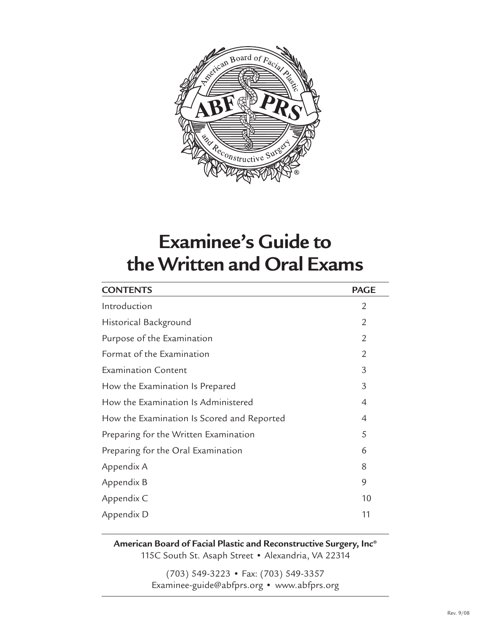

# **Examinee's Guide to the Written and Oral Exams**

| <b>CONTENTS</b>                            | <b>PAGE</b>    |
|--------------------------------------------|----------------|
| Introduction                               | $\overline{2}$ |
| Historical Background                      | $\overline{2}$ |
| Purpose of the Examination                 | $\overline{2}$ |
| Format of the Examination                  | $\overline{2}$ |
| <b>Examination Content</b>                 | 3              |
| How the Examination Is Prepared            | 3              |
| How the Examination Is Administered        | 4              |
| How the Examination Is Scored and Reported | $\overline{4}$ |
| Preparing for the Written Examination      | 5              |
| Preparing for the Oral Examination         | 6              |
| Appendix A                                 | 8              |
| Appendix B                                 | 9              |
| Appendix C                                 | 10             |
| Appendix D                                 | 11             |

**American Board of Facial Plastic and Reconstructive Surgery, Inc®** 115C South St. Asaph Street • Alexandria, VA 22314

> (703) 549-3223 • Fax: (703) 549-3357 Examinee-guide@abfprs.org • www.abfprs.org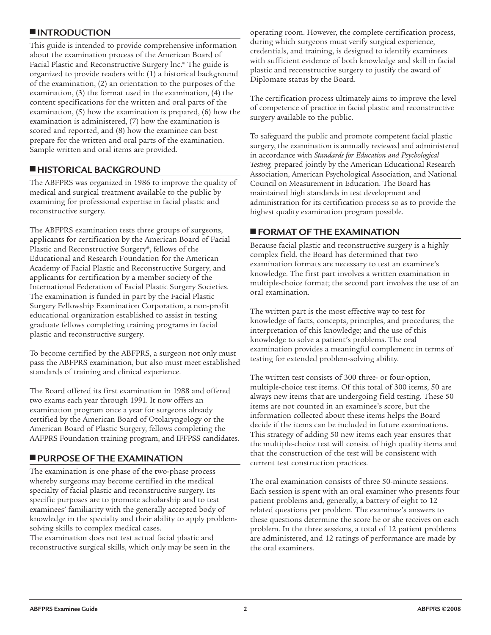# **■ INTRODUCTION**

This guide is intended to provide comprehensive information about the examination process of the American Board of Facial Plastic and Reconstructive Surgery lnc. ® The guide is organized to provide readers with: (1) a historical background of the examination, (2) an orientation to the purposes of the examination, (3) the format used in the examination, (4) the content specifications for the written and oral parts of the examination, (5) how the examination is prepared, (6) how the examination is administered, (7) how the examination is scored and reported, and (8) how the examinee can best prepare for the written and oral parts of the examination. Sample written and oral items are provided.

# **■ HISTORICAL BACKGROUND**

The ABFPRS was organized in 1986 to improve the quality of medical and surgical treatment available to the public by examining for professional expertise in facial plastic and reconstructive surgery.

The ABFPRS examination tests three groups of surgeons, applicants for certification by the American Board of Facial Plastic and Reconstructive Surgery®, fellows of the Educational and Research Foundation for the American Academy of Facial Plastic and Reconstructive Surgery, and applicants for certification by a member society of the International Federation of Facial Plastic Surgery Societies. The examination is funded in part by the Facial Plastic Surgery Fellowship Examination Corporation, a non-profit educational organization established to assist in testing graduate fellows completing training programs in facial plastic and reconstructive surgery.

To become certified by the ABFPRS, a surgeon not only must pass the ABFPRS examination, but also must meet established standards of training and clinical experience.

The Board offered its first examination in 1988 and offered two exams each year through 1991. It now offers an examination program once a year for surgeons already certified by the American Board of Otolaryngology or the American Board of Plastic Surgery, fellows completing the AAFPRS Foundation training program, and IFFPSS candidates.

# **■ PURPOSE OF THE EXAMINATION**

The examination is one phase of the two-phase process whereby surgeons may become certified in the medical specialty of facial plastic and reconstructive surgery. Its specific purposes are to promote scholarship and to test examinees' familiarity with the generally accepted body of knowledge in the specialty and their ability to apply problemsolving skills to complex medical cases.

The examination does not test actual facial plastic and reconstructive surgical skills, which only may be seen in the operating room. However, the complete certification process, during which surgeons must verify surgical experience, credentials, and training, is designed to identify examinees with sufficient evidence of both knowledge and skill in facial plastic and reconstructive surgery to justify the award of Diplomate status by the Board.

The certification process ultimately aims to improve the level of competence of practice in facial plastic and reconstructive surgery available to the public.

To safeguard the public and promote competent facial plastic surgery, the examination is annually reviewed and administered in accordance with *Standards for Education and Psychological Testing,* prepared jointly by the American Educational Research Association, American Psychological Association, and National Council on Measurement in Education. The Board has maintained high standards in test development and administration for its certification process so as to provide the highest quality examination program possible.

# **■ FORMAT OF THE EXAMINATION**

Because facial plastic and reconstructive surgery is a highly complex field, the Board has determined that two examination formats are necessary to test an examinee's knowledge. The first part involves a written examination in multiple-choice format; the second part involves the use of an oral examination.

The written part is the most effective way to test for knowledge of facts, concepts, principles, and procedures; the interpretation of this knowledge; and the use of this knowledge to solve a patient's problems. The oral examination provides a meaningful complement in terms of testing for extended problem-solving ability.

The written test consists of 300 three- or four-option, multiple-choice test items. Of this total of 300 items, 50 are always new items that are undergoing field testing. These 50 items are not counted in an examinee's score, but the information collected about these items helps the Board decide if the items can be included in future examinations. This strategy of adding 50 new items each year ensures that the multiple-choice test will consist of high quality items and that the construction of the test will be consistent with current test construction practices.

The oral examination consists of three 50-minute sessions. Each session is spent with an oral examiner who presents four patient problems and, generally, a battery of eight to 12 related questions per problem. The examinee's answers to these questions determine the score he or she receives on each problem. In the three sessions, a total of 12 patient problems are administered, and 12 ratings of performance are made by the oral examiners.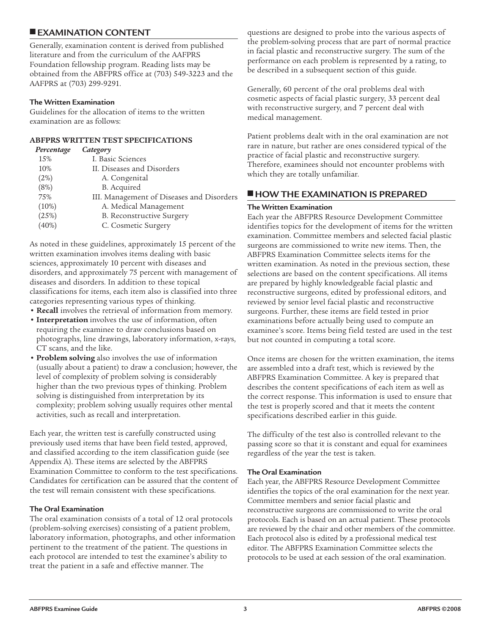# **■ EXAMINATION CONTENT**

Generally, examination content is derived from published literature and from the curriculum of the AAFPRS Foundation fellowship program. Reading lists may be obtained from the ABFPRS office at (703) 549-3223 and the AAFPRS at (703) 299-9291.

#### **The Written Examination**

Guidelines for the allocation of items to the written examination are as follows:

#### **ABFPRS WRITTEN TEST SPECIFICATIONS**

| Percentage | Category                                  |
|------------|-------------------------------------------|
| 15%        | I. Basic Sciences                         |
| 10%        | II. Diseases and Disorders                |
| (2%)       | A. Congenital                             |
| (8%)       | B. Acquired                               |
| 75%        | III. Management of Diseases and Disorders |
| (10%)      | A. Medical Management                     |
| (25%)      | <b>B.</b> Reconstructive Surgery          |
| (40%)      | C. Cosmetic Surgery                       |

As noted in these guidelines, approximately 15 percent of the written examination involves items dealing with basic sciences, approximately 10 percent with diseases and disorders, and approximately 75 percent with management of diseases and disorders. In addition to these topical classifications for items, each item also is classified into three categories representing various types of thinking.

- **• Recall** involves the retrieval of information from memory.
- **• Interpretation** involves the use of information, often requiring the examinee to draw conclusions based on photographs, line drawings, laboratory information, x-rays, CT scans, and the like.
- **• Problem solving** also involves the use of information (usually about a patient) to draw a conclusion; however, the level of complexity of problem solving is considerably higher than the two previous types of thinking. Problem solving is distinguished from interpretation by its complexity; problem solving usually requires other mental activities, such as recall and interpretation.

Each year, the written test is carefully constructed using previously used items that have been field tested, approved, and classified according to the item classification guide (see Appendix A). These items are selected by the ABFPRS Examination Committee to conform to the test specifications. Candidates for certification can be assured that the content of the test will remain consistent with these specifications.

#### **The Oral Examination**

The oral examination consists of a total of 12 oral protocols (problem-solving exercises) consisting of a patient problem, laboratory information, photographs, and other information pertinent to the treatment of the patient. The questions in each protocol are intended to test the examinee's ability to treat the patient in a safe and effective manner. The

questions are designed to probe into the various aspects of the problem-solving process that are part of normal practice in facial plastic and reconstructive surgery. The sum of the performance on each problem is represented by a rating, to be described in a subsequent section of this guide.

Generally, 60 percent of the oral problems deal with cosmetic aspects of facial plastic surgery, 33 percent deal with reconstructive surgery, and 7 percent deal with medical management.

Patient problems dealt with in the oral examination are not rare in nature, but rather are ones considered typical of the practice of facial plastic and reconstructive surgery. Therefore, examinees should not encounter problems with which they are totally unfamiliar.

# **■ HOW THE EXAMINATION IS PREPARED**

#### **The Written Examination**

Each year the ABFPRS Resource Development Committee identifies topics for the development of items for the written examination. Committee members and selected facial plastic surgeons are commissioned to write new items. Then, the ABFPRS Examination Committee selects items for the written examination. As noted in the previous section, these selections are based on the content specifications. All items are prepared by highly knowledgeable facial plastic and reconstructive surgeons, edited by professional editors, and reviewed by senior level facial plastic and reconstructive surgeons. Further, these items are field tested in prior examinations before actually being used to compute an examinee's score. Items being field tested are used in the test but not counted in computing a total score.

Once items are chosen for the written examination, the items are assembled into a draft test, which is reviewed by the ABFPRS Examination Committee. A key is prepared that describes the content specifications of each item as well as the correct response. This information is used to ensure that the test is properly scored and that it meets the content specifications described earlier in this guide.

The difficulty of the test also is controlled relevant to the passing score so that it is constant and equal for examinees regardless of the year the test is taken.

#### **The Oral Examination**

Each year, the ABFPRS Resource Development Committee identifies the topics of the oral examination for the next year. Committee members and senior facial plastic and reconstructive surgeons are commissioned to write the oral protocols. Each is based on an actual patient. These protocols are reviewed by the chair and other members of the committee. Each protocol also is edited by a professional medical test editor. The ABFPRS Examination Committee selects the protocols to be used at each session of the oral examination.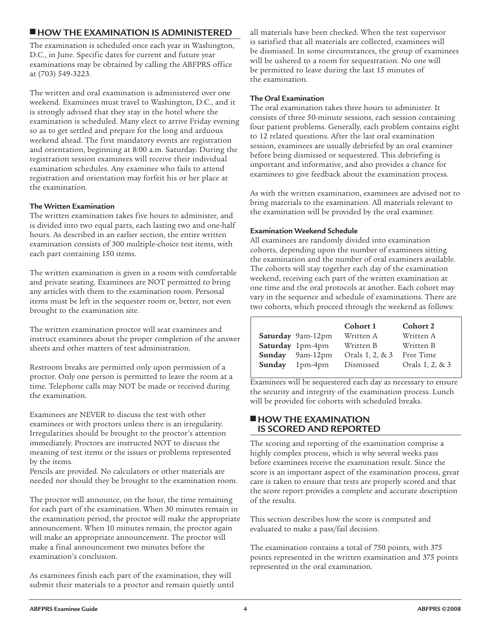### **■ HOW THE EXAMINATION IS ADMINISTERED**

The examination is scheduled once each year in Washington, D.C., in June. Specific dates for current and future year examinations may be obtained by calling the ABFPRS office at (703) 549-3223.

The written and oral examination is administered over one weekend. Examinees must travel to Washington, D.C., and it is strongly advised that they stay in the hotel where the examination is scheduled. Many elect to arrive Friday evening so as to get settled and prepare for the long and arduous weekend ahead. The first mandatory events are registration and orientation, beginning at 8:00 a.m. Saturday. During the registration session examinees will receive their individual examination schedules. Any examinee who fails to attend registration and orientation may forfeit his or her place at the examination.

#### **The Written Examination**

The written examination takes five hours to administer, and is divided into two equal parts, each lasting two and one-half hours. As described in an earlier section, the entire written examination consists of 300 multiple-choice test items, with each part containing 150 items.

The written examination is given in a room with comfortable and private seating. Examinees are NOT permitted to bring any articles with them to the examination room. Personal items must be left in the sequester room or, better, not even brought to the examination site.

The written examination proctor will seat examinees and instruct examinees about the proper completion of the answer sheets and other matters of test administration.

Restroom breaks are permitted only upon permission of a proctor. Only one person is permitted to leave the room at a time. Telephone calls may NOT be made or received during the examination.

Examinees are NEVER to discuss the test with other examinees or with proctors unless there is an irregularity. Irregularities should be brought to the proctor's attention immediately. Proctors are instructed NOT to discuss the meaning of test items or the issues or problems represented by the items.

Pencils are provided. No calculators or other materials are needed nor should they be brought to the examination room.

The proctor will announce, on the hour, the time remaining for each part of the examination. When 30 minutes remain in the examination period, the proctor will make the appropriate announcement. When 10 minutes remain, the proctor again will make an appropriate announcement. The proctor will make a final announcement two minutes before the examination's conclusion.

As examinees finish each part of the examination, they will submit their materials to a proctor and remain quietly until all materials have been checked. When the test supervisor is satisfied that all materials are collected, examinees will be dismissed. In some circumstances, the group of examinees will be ushered to a room for sequestration. No one will be permitted to leave during the last 15 minutes of the examination.

#### **The Oral Examination**

The oral examination takes three hours to administer. It consists of three 50-minute sessions, each session containing four patient problems. Generally, each problem contains eight to 12 related questions. After the last oral examination session, examinees are usually debriefed by an oral examiner before being dismissed or sequestered. This debriefing is important and informative, and also provides a chance for examinees to give feedback about the examination process.

As with the written examination, examinees are advised not to bring materials to the examination. All materials relevant to the examination will be provided by the oral examiner.

#### **Examination Weekend Schedule**

All examinees are randomly divided into examination cohorts, depending upon the number of examinees sitting the examination and the number of oral examiners available. The cohorts will stay together each day of the examination weekend, receiving each part of the written examination at one time and the oral protocols at another. Each cohort may vary in the sequence and schedule of examinations. There are two cohorts, which proceed through the weekend as follows:

|        |                   | Cohort 1        | Cohort 2        |
|--------|-------------------|-----------------|-----------------|
|        | Saturday 9am-12pm | Written A       | Written A       |
|        | Saturday 1pm-4pm  | Written B       | Written B       |
| Sunday | 9am-12pm          | Orals 1, 2, & 3 | Free Time       |
| Sunday | $1pm-4pm$         | Dismissed       | Orals 1, 2, & 3 |

Examinees will be sequestered each day as necessary to ensure the security and integrity of the examination process. Lunch will be provided for cohorts with scheduled breaks.

#### **■ HOW THE EXAMINATION IS SCORED AND REPORTED**

The scoring and reporting of the examination comprise a highly complex process, which is why several weeks pass before examinees receive the examination result. Since the score is an important aspect of the examination process, great care is taken to ensure that tests are properly scored and that the score report provides a complete and accurate description of the results.

This section describes how the score is computed and evaluated to make a pass/fail decision.

The examination contains a total of 750 points, with 375 points represented in the written examination and 375 points represented in the oral examination.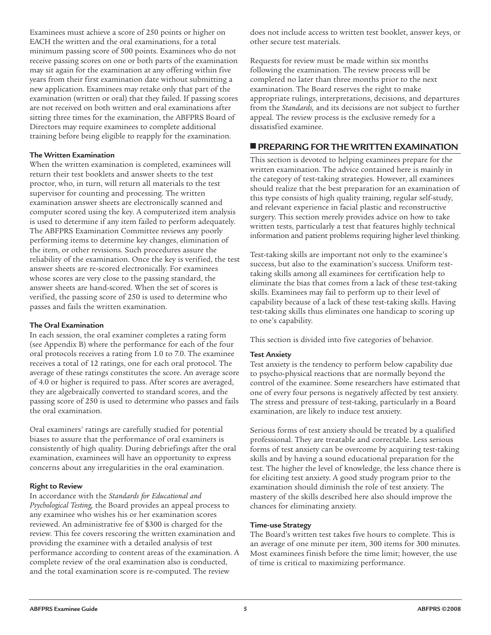Examinees must achieve a score of 250 points or higher on EACH the written and the oral examinations, for a total minimum passing score of 500 points. Examinees who do not receive passing scores on one or both parts of the examination may sit again for the examination at any offering within five years from their first examination date without submitting a new application. Examinees may retake only that part of the examination (written or oral) that they failed. If passing scores are not received on both written and oral examinations after sitting three times for the examination, the ABFPRS Board of Directors may require examinees to complete additional training before being eligible to reapply for the examination.

#### **The Written Examination**

When the written examination is completed, examinees will return their test booklets and answer sheets to the test proctor, who, in turn, will return all materials to the test supervisor for counting and processing. The written examination answer sheets are electronically scanned and computer scored using the key. A computerized item analysis is used to determine if any item failed to perform adequately. The ABFPRS Examination Committee reviews any poorly performing items to determine key changes, elimination of the item, or other revisions. Such procedures assure the reliability of the examination. Once the key is verified, the test answer sheets are re-scored electronically. For examinees whose scores are very close to the passing standard, the answer sheets are hand-scored. When the set of scores is verified, the passing score of 250 is used to determine who passes and fails the written examination.

#### **The Oral Examination**

In each session, the oral examiner completes a rating form (see Appendix B) where the performance for each of the four oral protocols receives a rating from 1.0 to 7.0. The examinee receives a total of 12 ratings, one for each oral protocol. The average of these ratings constitutes the score. An average score of 4.0 or higher is required to pass. After scores are averaged, they are algebraically converted to standard scores, and the passing score of 250 is used to determine who passes and fails the oral examination.

Oral examiners' ratings are carefully studied for potential biases to assure that the performance of oral examiners is consistently of high quality. During debriefings after the oral examination, examinees will have an opportunity to express concerns about any irregularities in the oral examination.

#### **Right to Review**

In accordance with the *Standards for Educational and Psychological Testing,* the Board provides an appeal process to any examinee who wishes his or her examination scores reviewed. An administrative fee of \$300 is charged for the review. This fee covers rescoring the written examination and providing the examinee with a detailed analysis of test performance according to content areas of the examination. A complete review of the oral examination also is conducted, and the total examination score is re-computed. The review

does not include access to written test booklet, answer keys, or other secure test materials.

Requests for review must be made within six months following the examination. The review process will be completed no later than three months prior to the next examination. The Board reserves the right to make appropriate rulings, interpretations, decisions, and departures from the *Standards,* and its decisions are not subject to further appeal. The review process is the exclusive remedy for a dissatisfied examinee.

### **■ PREPARING FOR THE WRITTEN EXAMINATION**

This section is devoted to helping examinees prepare for the written examination. The advice contained here is mainly in the category of test-taking strategies. However, all examinees should realize that the best preparation for an examination of this type consists of high quality training, regular self-study, and relevant experience in facial plastic and reconstructive surgery. This section merely provides advice on how to take written tests, particularly a test that features highly technical information and patient problems requiring higher level thinking.

Test-taking skills are important not only to the examinee's success, but also to the examination's success. Uniform testtaking skills among all examinees for certification help to eliminate the bias that comes from a lack of these test-taking skills. Examinees may fail to perform up to their level of capability because of a lack of these test-taking skills. Having test-taking skills thus eliminates one handicap to scoring up to one's capability.

This section is divided into five categories of behavior.

#### **Test Anxiety**

Test anxiety is the tendency to perform below capability due to psycho-physical reactions that are normally beyond the control of the examinee. Some researchers have estimated that one of every four persons is negatively affected by test anxiety. The stress and pressure of test-taking, particularly in a Board examination, are likely to induce test anxiety.

Serious forms of test anxiety should be treated by a qualified professional. They are treatable and correctable. Less serious forms of test anxiety can be overcome by acquiring test-taking skills and by having a sound educational preparation for the test. The higher the level of knowledge, the less chance there is for eliciting test anxiety. A good study program prior to the examination should diminish the role of test anxiety. The mastery of the skills described here also should improve the chances for eliminating anxiety.

#### **Time-use Strategy**

The Board's written test takes five hours to complete. This is an average of one minute per item, 300 items for 300 minutes. Most examinees finish before the time limit; however, the use of time is critical to maximizing performance.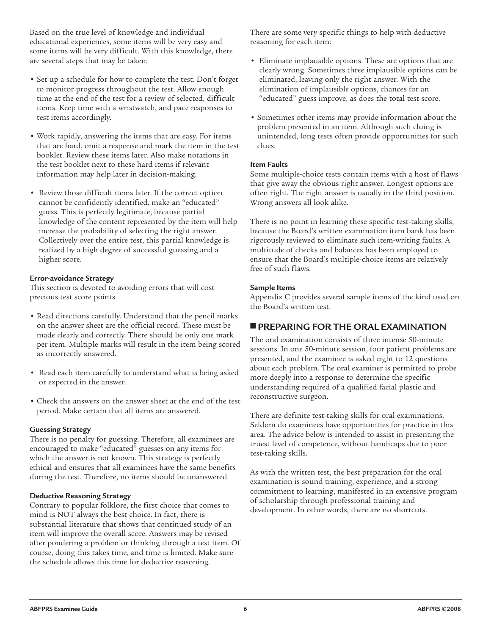Based on the true level of knowledge and individual educational experiences, some items will be very easy and some items will be very difficult. With this knowledge, there are several steps that may be taken:

- Set up a schedule for how to complete the test. Don't forget to monitor progress throughout the test. Allow enough time at the end of the test for a review of selected, difficult items. Keep time with a wristwatch, and pace responses to test items accordingly.
- Work rapidly, answering the items that are easy. For items that are hard, omit a response and mark the item in the test booklet. Review these items later. Also make notations in the test booklet next to these hard items if relevant information may help later in decision-making.
- Review those difficult items later. If the correct option cannot be confidently identified, make an "educated" guess. This is perfectly legitimate, because partial knowledge of the content represented by the item will help increase the probability of selecting the right answer. Collectively over the entire test, this partial knowledge is realized by a high degree of successful guessing and a higher score.

#### **Error-avoidance Strategy**

This section is devoted to avoiding errors that will cost precious test score points.

- Read directions carefully. Understand that the pencil marks on the answer sheet are the official record. These must be made clearly and correctly. There should be only one mark per item. Multiple marks will result in the item being scored as incorrectly answered.
- Read each item carefully to understand what is being asked or expected in the answer.
- Check the answers on the answer sheet at the end of the test period. Make certain that all items are answered.

#### **Guessing Strategy**

There is no penalty for guessing. Therefore, all examinees are encouraged to make "educated" guesses on any items for which the answer is not known. This strategy is perfectly ethical and ensures that all examinees have the same benefits during the test. Therefore, no items should be unanswered.

#### **Deductive Reasoning Strategy**

Contrary to popular folklore, the first choice that comes to mind is NOT always the best choice. In fact, there is substantial literature that shows that continued study of an item will improve the overall score. Answers may be revised after pondering a problem or thinking through a test item. Of course, doing this takes time, and time is limited. Make sure the schedule allows this time for deductive reasoning.

There are some very specific things to help with deductive reasoning for each item:

- Eliminate implausible options. These are options that are clearly wrong. Sometimes three implausible options can be eliminated, leaving only the right answer. With the elimination of implausible options, chances for an "educated" guess improve, as does the total test score.
- Sometimes other items may provide information about the problem presented in an item. Although such cluing is unintended, long tests often provide opportunities for such clues.

#### **Item Faults**

Some multiple-choice tests contain items with a host of flaws that give away the obvious right answer. Longest options are often right. The right answer is usually in the third position. Wrong answers all look alike.

There is no point in learning these specific test-taking skills, because the Board's written examination item bank has been rigorously reviewed to eliminate such item-writing faults. A multitude of checks and balances has been employed to ensure that the Board's multiple-choice items are relatively free of such flaws.

#### **Sample Items**

Appendix C provides several sample items of the kind used on the Board's written test.

### **■ PREPARING FOR THE ORAL EXAMINATION**

The oral examination consists of three intense 50-minute sessions. In one 50-minute session, four patient problems are presented, and the examinee is asked eight to 12 questions about each problem. The oral examiner is permitted to probe more deeply into a response to determine the specific understanding required of a qualified facial plastic and reconstructive surgeon.

There are definite test-taking skills for oral examinations. Seldom do examinees have opportunities for practice in this area. The advice below is intended to assist in presenting the truest level of competence, without handicaps due to poor test-taking skills.

As with the written test, the best preparation for the oral examination is sound training, experience, and a strong commitment to learning, manifested in an extensive program of scholarship through professional training and development. In other words, there are no shortcuts.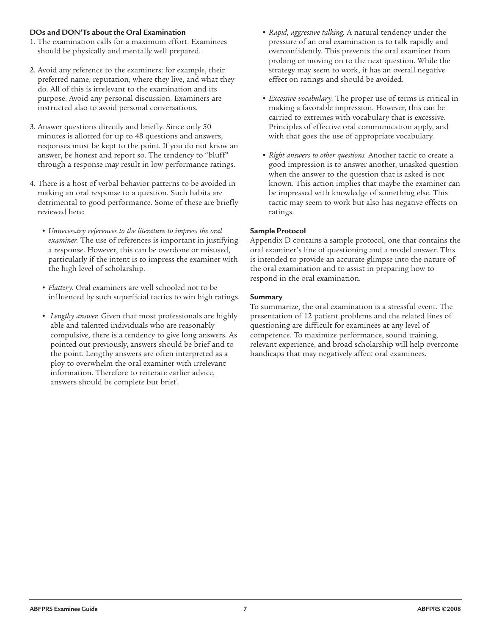#### **DOs and DON'Ts about the Oral Examination**

- 1. The examination calls for a maximum effort. Examinees should be physically and mentally well prepared.
- 2. Avoid any reference to the examiners: for example, their preferred name, reputation, where they live, and what they do. All of this is irrelevant to the examination and its purpose. Avoid any personal discussion. Examiners are instructed also to avoid personal conversations.
- 3. Answer questions directly and briefly. Since only 50 minutes is allotted for up to 48 questions and answers, responses must be kept to the point. If you do not know an answer, be honest and report so. The tendency to "bluff" through a response may result in low performance ratings.
- 4. There is a host of verbal behavior patterns to be avoided in making an oral response to a question. Such habits are detrimental to good performance. Some of these are briefly reviewed here:
	- *Unnecessary references to the literature to impress the oral examiner.* The use of references is important in justifying a response. However, this can be overdone or misused, particularly if the intent is to impress the examiner with the high level of scholarship.
	- *Flattery.* Oral examiners are well schooled not to be influenced by such superficial tactics to win high ratings.
	- *Lengthy answer.* Given that most professionals are highly able and talented individuals who are reasonably compulsive, there is a tendency to give long answers. As pointed out previously, answers should be brief and to the point. Lengthy answers are often interpreted as a ploy to overwhelm the oral examiner with irrelevant information. Therefore to reiterate earlier advice, answers should be complete but brief.
- *Rapid, aggressive talking.* A natural tendency under the pressure of an oral examination is to talk rapidly and overconfidently. This prevents the oral examiner from probing or moving on to the next question. While the strategy may seem to work, it has an overall negative effect on ratings and should be avoided.
- *Excessive vocabulary.* The proper use of terms is critical in making a favorable impression. However, this can be carried to extremes with vocabulary that is excessive. Principles of effective oral communication apply, and with that goes the use of appropriate vocabulary.
- *Right answers to other questions.* Another tactic to create a good impression is to answer another, unasked question when the answer to the question that is asked is not known. This action implies that maybe the examiner can be impressed with knowledge of something else. This tactic may seem to work but also has negative effects on ratings.

#### **Sample Protocol**

Appendix D contains a sample protocol, one that contains the oral examiner's line of questioning and a model answer. This is intended to provide an accurate glimpse into the nature of the oral examination and to assist in preparing how to respond in the oral examination.

#### **Summary**

To summarize, the oral examination is a stressful event. The presentation of 12 patient problems and the related lines of questioning are difficult for examinees at any level of competence. To maximize performance, sound training, relevant experience, and broad scholarship will help overcome handicaps that may negatively affect oral examinees.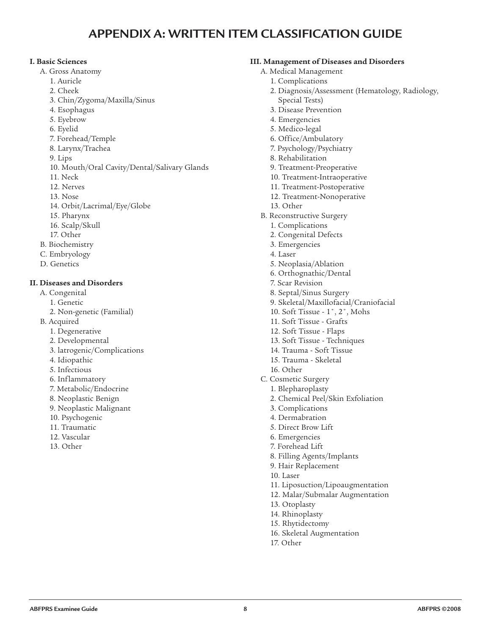# **APPENDIX A: WRITTEN ITEM CLASSIFICATION GUIDE**

#### **I. Basic Sciences**

- A. Gross Anatomy
	- 1. Auricle
	- 2. Cheek
	- 3. Chin/Zygoma/Maxilla/Sinus
	- 4. Esophagus
	- 5. Eyebrow
	- 6. Eyelid
	- 7. Forehead/Temple
	- 8. Larynx/Trachea
	- 9. Lips
	- 10. Mouth/Oral Cavity/Dental/Salivary Glands
	- 11. Neck
	- 12. Nerves
	- 13. Nose
	- 14. Orbit/Lacrimal/Eye/Globe
	- 15. Pharynx
	- 16. Scalp/Skull
	- 17. Other
- B. Biochemistry
- C. Embryology
- D. Genetics

#### **II. Diseases and Disorders**

- A. Congenital
	- 1. Genetic
	- 2. Non-genetic (Familial)
- B. Acquired
	- 1. Degenerative
	- 2. Developmental
	- 3. latrogenic/Complications
	- 4. Idiopathic
	- 5. Infectious
	- 6. Inflammatory
	- 7. Metabolic/Endocrine
	- 8. Neoplastic Benign
	- 9. Neoplastic Malignant
	- 10. Psychogenic
	- 11. Traumatic
	- 12. Vascular
	- 13. Other

### **III. Management of Diseases and Disorders**

- A. Medical Management
	- 1. Complications
	- 2. Diagnosis/Assessment (Hematology, Radiology, Special Tests)
	- 3. Disease Prevention
	- 4. Emergencies
	- 5. Medico-legal
	- 6. Office/Ambulatory
	- 7. Psychology/Psychiatry
	- 8. Rehabilitation
	- 9. Treatment-Preoperative
	- 10. Treatment-Intraoperative
	- 11. Treatment-Postoperative
	- 12. Treatment-Nonoperative
	- 13. Other
- B. Reconstructive Surgery
	- 1. Complications
	- 2. Congenital Defects
	- 3. Emergencies
	- 4. Laser
	- 5. Neoplasia/Ablation
	- 6. Orthognathic/Dental
	- 7. Scar Revision
	- 8. Septal/Sinus Surgery
	- 9. Skeletal/Maxillofacial/Craniofacial
	- 10. Soft Tissue 1˚, 2˚, Mohs
	- 11. Soft Tissue Grafts
	- 12. Soft Tissue Flaps
	- 13. Soft Tissue Techniques
	- 14. Trauma Soft Tissue
	- 15. Trauma Skeletal
	- 16. Other
- C. Cosmetic Surgery
- 1. Blepharoplasty
	- 2. Chemical Peel/Skin Exfoliation
	- 3. Complications
- 4. Dermabration
- 5. Direct Brow Lift
- 6. Emergencies
- 7. Forehead Lift
- 8. Filling Agents/Implants
- 9. Hair Replacement
- 10. Laser
- 11. Liposuction/Lipoaugmentation
- 12. Malar/Submalar Augmentation
- 13. Otoplasty
- 14. Rhinoplasty
- 15. Rhytidectomy
- 16. Skeletal Augmentation
- 17. Other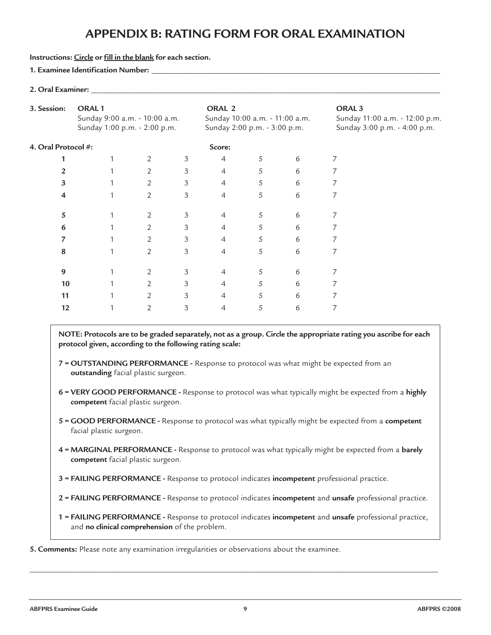# **APPENDIX B: RATING FORM FOR ORAL EXAMINATION**

#### **Instructions: Circle or fill in the blank for each section.**

#### **1. Examinee Identification Number:** \_\_\_\_\_\_\_\_\_\_\_\_\_\_\_\_\_\_\_\_\_\_\_\_\_\_\_\_\_\_\_\_\_\_\_\_\_\_\_\_\_\_\_\_\_\_\_\_\_\_\_\_\_\_\_\_\_\_\_\_\_\_\_\_\_\_\_\_\_\_\_\_\_\_\_\_\_

#### **2. Oral Examiner:** \_\_\_\_\_\_\_\_\_\_\_\_\_\_\_\_\_\_\_\_\_\_\_\_\_\_\_\_\_\_\_\_\_\_\_\_\_\_\_\_\_\_\_\_\_\_\_\_\_\_\_\_\_\_\_\_\_\_\_\_\_\_\_\_\_\_\_\_\_\_\_\_\_\_\_\_\_\_\_\_\_\_\_\_\_\_\_\_\_\_\_\_

| 3. Session:<br>ORAL <sub>1</sub><br>Sunday 9:00 a.m. - 10:00 a.m.<br>Sunday 1:00 p.m. - 2:00 p.m. |  |                |   | ORAL 2<br>Sunday 10:00 a.m. - 11:00 a.m.<br>Sunday 2:00 p.m. - 3:00 p.m. |   |   | ORAL <sub>3</sub><br>Sunday 11:00 a.m. - 12:00 p.m.<br>Sunday 3:00 p.m. - 4:00 p.m. |
|---------------------------------------------------------------------------------------------------|--|----------------|---|--------------------------------------------------------------------------|---|---|-------------------------------------------------------------------------------------|
| 4. Oral Protocol #:                                                                               |  |                |   | Score:                                                                   |   |   |                                                                                     |
|                                                                                                   |  | 2              | 3 | 4                                                                        | 5 | 6 | 7                                                                                   |
|                                                                                                   |  | 2              | 3 | 4                                                                        | 5 | 6 | 7                                                                                   |
| 3                                                                                                 |  | $\overline{2}$ | 3 | $\overline{4}$                                                           | 5 | 6 |                                                                                     |
| 4                                                                                                 |  | $\overline{2}$ | 3 | $\overline{4}$                                                           | 5 | 6 |                                                                                     |
| 5                                                                                                 |  | 2              | 3 | 4                                                                        | 5 | 6 |                                                                                     |
| 6                                                                                                 |  | 2              | 3 | 4                                                                        | 5 | 6 |                                                                                     |
|                                                                                                   |  | 2              | 3 | $\overline{4}$                                                           | 5 | 6 | 7                                                                                   |
| 8                                                                                                 |  | $\overline{2}$ | 3 | $\overline{4}$                                                           | 5 | 6 | 7                                                                                   |
| 9                                                                                                 |  | 2              | 3 | 4                                                                        | 5 | 6 |                                                                                     |
| 10                                                                                                |  | 2              | 3 | $\overline{4}$                                                           | 5 | 6 |                                                                                     |
| 11                                                                                                |  | $\overline{2}$ | 3 | $\overline{4}$                                                           | 5 | 6 |                                                                                     |
| 12                                                                                                |  | $\overline{2}$ | 3 | 4                                                                        | 5 | 6 |                                                                                     |

NOTE: Protocols are to be graded separately, not as a group. Circle the appropriate rating you ascribe for each **protocol given, according to the following rating scale:**

- **7 = OUTSTANDING PERFORMANCE -** Response to protocol was what might be expected from an **outstanding** facial plastic surgeon.
- **6 = VERY GOOD PERFORMANCE -** Response to protocol was what typically might be expected from a **highly competent** facial plastic surgeon.
- **5 = GOOD PERFORMANCE -** Response to protocol was what typically might be expected from a **competent** facial plastic surgeon.
- **4 = MARGINAL PERFORMANCE -** Response to protocol was what typically might be expected from a **barely competent** facial plastic surgeon.
- **3 = FAILING PERFORMANCE -** Response to protocol indicates **incompetent** professional practice.
- **2 = FAILING PERFORMANCE -** Response to protocol indicates **incompetent** and **unsafe** professional practice.
- **1 = FAILING PERFORMANCE -** Response to protocol indicates **incompetent** and **unsafe** professional practice, and **no clinical comprehension** of the problem.

**5. Comments:** Please note any examination irregularities or observations about the examinee.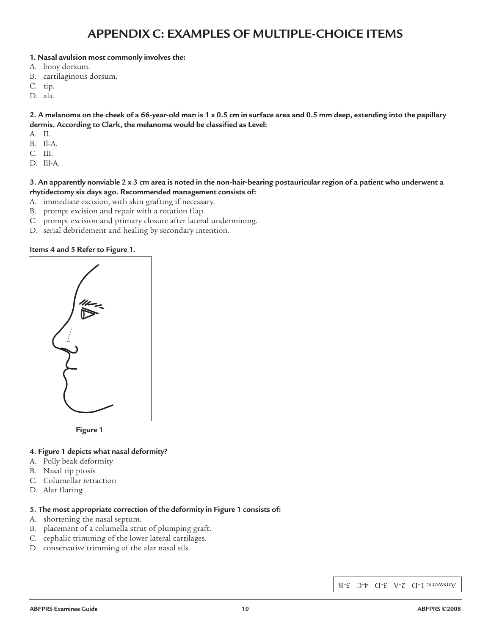# **APPENDIX C: EXAMPLES OF MULTIPLE-CHOICE ITEMS**

#### **1. Nasal avulsion most commonly involves the:**

- A. bony dorsum.
- B. cartilaginous dorsum.
- C. tip.
- D. ala.

2. A melanoma on the cheek of a 66-year-old man is 1 x 0.5 cm in surface area and 0.5 mm deep, extending into the papillary **dermis. According to Clark, the melanoma would be classified as Level:**

- A. II.
- B. Il-A.
- C. III.
- D. Ill-A.

#### 3. An apparently nonviable 2 x 3 cm area is noted in the non-hair-bearing postauricular region of a patient who underwent a **rhytidectomy six days ago. Recommended management consists of:**

- A. immediate excision, with skin grafting if necessary.
- B. prompt excision and repair with a rotation flap.
- C. prompt excision and primary closure after lateral undermining.
- D. serial debridement and healing by secondary intention.

#### **Items 4 and 5 Refer to Figure 1.**

| $\frac{1}{N}$ |
|---------------|
| å             |
|               |

**Figure 1**

#### **4. Figure 1 depicts what nasal deformity?**

- A. Polly beak deformity
- B. Nasal tip ptosis
- C. Columellar retraction
- D. Alar flaring

#### **5. The most appropriate correction of the deformity in Figure 1 consists of:**

- A. shortening the nasal septum.
- B. placement of a columella strut of plumping graft.
- C. cephalic trimming of the lower lateral cartilages.
- D. conservative trimming of the alar nasal sils.

Answers: 1-D 2-A 3-D 4-C 5-B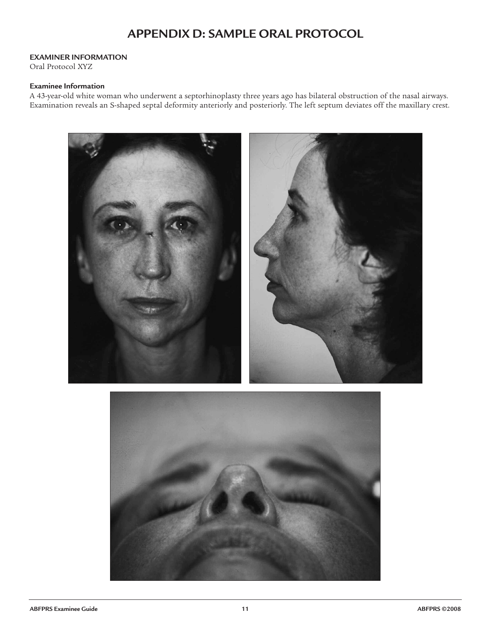# **APPENDIX D: SAMPLE ORAL PROTOCOL**

#### **EXAMINER INFORMATION**

Oral Protocol XYZ

#### **Examinee Information**

A 43-year-old white woman who underwent a septorhinoplasty three years ago has bilateral obstruction of the nasal airways. Examination reveals an S-shaped septal deformity anteriorly and posteriorly. The left septum deviates off the maxillary crest.